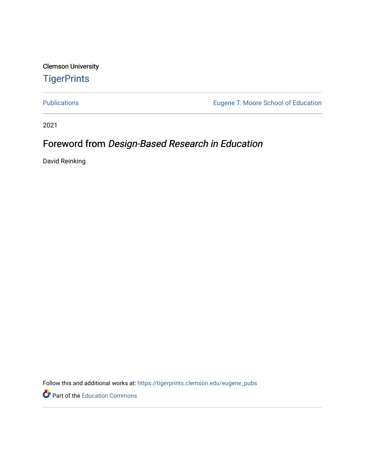Clemson University **TigerPrints** 

[Publications](https://tigerprints.clemson.edu/eugene_pubs) [Eugene T. Moore School of Education](https://tigerprints.clemson.edu/moore_ed) 

2021

## Foreword from Design-Based Research in Education

David Reinking

Follow this and additional works at: [https://tigerprints.clemson.edu/eugene\\_pubs](https://tigerprints.clemson.edu/eugene_pubs?utm_source=tigerprints.clemson.edu%2Feugene_pubs%2F95&utm_medium=PDF&utm_campaign=PDFCoverPages)

Part of the [Education Commons](http://network.bepress.com/hgg/discipline/784?utm_source=tigerprints.clemson.edu%2Feugene_pubs%2F95&utm_medium=PDF&utm_campaign=PDFCoverPages)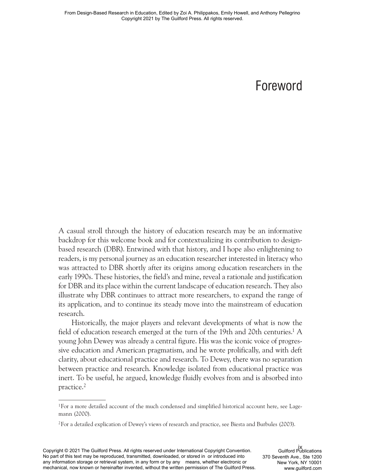# Foreword

A casual stroll through the history of education research may be an informative backdrop for this welcome book and for contextualizing its contribution to designbased research (DBR). Entwined with that history, and I hope also enlightening to readers, is my personal journey as an education researcher interested in literacy who was attracted to DBR shortly after its origins among education researchers in the early 1990s. These histories, the field's and mine, reveal a rationale and justification for DBR and its place within the current landscape of education research. They also illustrate why DBR continues to attract more researchers, to expand the range of its application, and to continue its steady move into the mainstream of education research.

Historically, the major players and relevant developments of what is now the field of education research emerged at the turn of the 19th and 20th centuries.<sup>1</sup> A young John Dewey was already a central figure. His was the iconic voice of progressive education and American pragmatism, and he wrote prolifically, and with deft clarity, about educational practice and research. To Dewey, there was no separation between practice and research. Knowledge isolated from educational practice was inert. To be useful, he argued, knowledge fluidly evolves from and is absorbed into practice.2

<sup>&</sup>lt;sup>1</sup>For a more detailed account of the much condensed and simplified historical account here, see Lagemann (2000).

<sup>2</sup> For a detailed explication of Dewey's views of research and practice, see Biesta and Burbules (2003).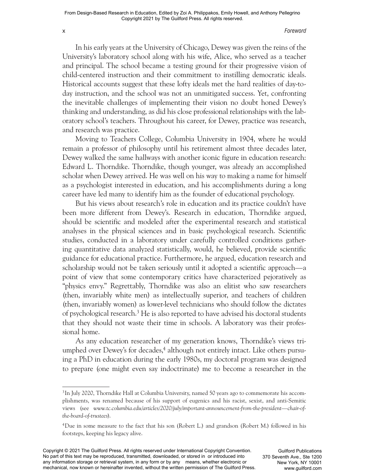#### x *Foreword*

In his early years at the University of Chicago, Dewey was given the reins of the University's laboratory school along with his wife, Alice, who served as a teacher and principal. The school became a testing ground for their progressive vision of child- centered instruction and their commitment to instilling democratic ideals. Historical accounts suggest that these lofty ideals met the hard realities of day-today instruction, and the school was not an unmitigated success. Yet, confronting the inevitable challenges of implementing their vision no doubt honed Dewey's thinking and understanding, as did his close professional relationships with the laboratory school's teachers. Throughout his career, for Dewey, practice was research, and research was practice.

Moving to Teachers College, Columbia University in 1904, where he would remain a professor of philosophy until his retirement almost three decades later, Dewey walked the same hallways with another iconic figure in education research: Edward L. Thorndike. Thorndike, though younger, was already an accomplished scholar when Dewey arrived. He was well on his way to making a name for himself as a psychologist interested in education, and his accomplishments during a long career have led many to identify him as the founder of educational psychology.

But his views about research's role in education and its practice couldn't have been more different from Dewey's. Research in education, Thorndike argued, should be scientific and modeled after the experimental research and statistical analyses in the physical sciences and in basic psychological research. Scientific studies, conducted in a laboratory under carefully controlled conditions gathering quantitative data analyzed statistically, would, he believed, provide scientific guidance for educational practice. Furthermore, he argued, education research and scholarship would not be taken seriously until it adopted a scientific approach— a point of view that some contemporary critics have characterized pejoratively as "physics envy." Regrettably, Thorndike was also an elitist who saw researchers (then, invariably white men) as intellectually superior, and teachers of children (then, invariably women) as lower-level technicians who should follow the dictates of psychological research.3 He is also reported to have advised his doctoral students that they should not waste their time in schools. A laboratory was their professional home.

As any education researcher of my generation knows, Thorndike's views triumphed over Dewey's for decades,<sup>4</sup> although not entirely intact. Like others pursuing a PhD in education during the early 1980s, my doctoral program was designed to prepare (one might even say indoctrinate) me to become a researcher in the

<sup>&</sup>lt;sup>3</sup> In July 2020, Thorndike Hall at Columbia University, named 50 years ago to commemorate his accomplishments, was renamed because of his support of eugenics and his racist, sexist, and anti- Semitic views (see *www.tc.columbia.edu/articles/2020/july/important- announcement- from- the- president— chair- ofthe- board- of- trustees*).

<sup>4</sup> Due in some measure to the fact that his son (Robert L.) and grandson (Robert M.) followed in his footsteps, keeping his legacy alive.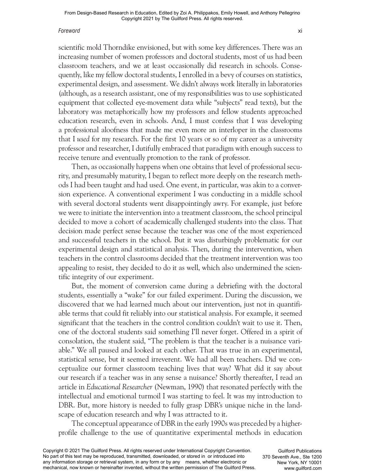#### *Foreword* xi

scientific mold Thorndike envisioned, but with some key differences. There was an increasing number of women professors and doctoral students, most of us had been classroom teachers, and we at least occasionally did research in schools. Consequently, like my fellow doctoral students, I enrolled in a bevy of courses on statistics, experimental design, and assessment. We didn't always work literally in laboratories (although, as a research assistant, one of my responsibilities was to use sophisticated equipment that collected eye-movement data while "subjects" read texts), but the laboratory was metaphorically how my professors and fellow students approached education research, even in schools. And, I must confess that I was developing a professional aloofness that made me even more an interloper in the classrooms that I *used* for my research. For the first 10 years or so of my career as a university professor and researcher, I dutifully embraced that paradigm with enough success to receive tenure and eventually promotion to the rank of professor.

Then, as occasionally happens when one obtains that level of professional security, and presumably maturity, I began to reflect more deeply on the research methods I had been taught and had used. One event, in particular, was akin to a conversion experience. A conventional experiment I was conducting in a middle school with several doctoral students went disappointingly awry. For example, just before we were to initiate the intervention into a treatment classroom, the school principal decided to move a cohort of academically challenged students into the class. That decision made perfect sense because the teacher was one of the most experienced and successful teachers in the school. But it was disturbingly problematic for our experimental design and statistical analysis. Then, during the intervention, when teachers in the control classrooms decided that the treatment intervention was too appealing to resist, they decided to do it as well, which also undermined the scientific integrity of our experiment.

But, the moment of conversion came during a debriefing with the doctoral students, essentially a "wake" for our failed experiment. During the discussion, we discovered that we had learned much about our intervention, just not in quantifiable terms that could fit reliably into our statistical analysis. For example, it seemed significant that the teachers in the control condition couldn't wait to use it. Then, one of the doctoral students said something I'll never forget. Offered in a spirit of consolation, the student said, "The problem is that the teacher is a nuisance variable." We all paused and looked at each other. That was true in an experimental, statistical sense, but it seemed irreverent. We had all been teachers. Did we conceptualize our former classroom teaching lives that way? What did it say about our research if a teacher was in any sense a nuisance? Shortly thereafter, I read an article in *Educational Researcher* (Newman, 1990) that resonated perfectly with the intellectual and emotional turmoil I was starting to feel. It was my introduction to DBR. But, more history is needed to fully grasp DBR's unique niche in the landscape of education research and why I was attracted to it.

The conceptual appearance of DBR in the early 1990s was preceded by a higherprofile challenge to the use of quantitative experimental methods in education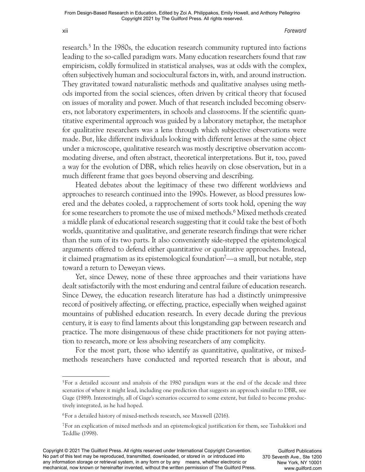#### xii *Foreword*

research.5 In the 1980s, the education research community ruptured into factions leading to the so-called paradigm wars. Many education researchers found that raw empiricism, coldly formulized in statistical analyses, was at odds with the complex, often subjectively human and sociocultural factors in, with, and around instruction. They gravitated toward naturalistic methods and qualitative analyses using methods imported from the social sciences, often driven by critical theory that focused on issues of morality and power. Much of that research included becoming observers, not laboratory experimenters, in schools and classrooms. If the scientific quantitative experimental approach was guided by a laboratory metaphor, the metaphor for qualitative researchers was a lens through which subjective observations were made. But, like different individuals looking with different lenses at the same object under a microscope, qualitative research was mostly descriptive observation accommodating diverse, and often abstract, theoretical interpretations. But it, too, paved a way for the evolution of DBR, which relies heavily on close observation, but in a much different frame that goes beyond observing and describing.

Heated debates about the legitimacy of these two different worldviews and approaches to research continued into the 1990s. However, as blood pressures lowered and the debates cooled, a rapprochement of sorts took hold, opening the way for some researchers to promote the use of mixed methods.<sup>6</sup> Mixed methods created a middle plank of educational research suggesting that it could take the best of both worlds, quantitative and qualitative, and generate research findings that were richer than the sum of its two parts. It also conveniently side- stepped the epistemological arguments offered to defend either quantitative or qualitative approaches. Instead, it claimed pragmatism as its epistemological foundation<sup>7</sup>—a small, but notable, step toward a return to Deweyan views.

Yet, since Dewey, none of these three approaches and their variations have dealt satisfactorily with the most enduring and central failure of education research. Since Dewey, the education research literature has had a distinctly unimpressive record of positively affecting, or effecting, practice, especially when weighed against mountains of published education research. In every decade during the previous century, it is easy to find laments about this longstanding gap between research and practice. The more disingenuous of these chide practitioners for not paying attention to research, more or less absolving researchers of any complicity.

For the most part, those who identify as quantitative, qualitative, or mixedmethods researchers have conducted and reported research that is about, and

<sup>&</sup>lt;sup>5</sup> For a detailed account and analysis of the 1980 paradigm wars at the end of the decade and three scenarios of where it might lead, including one prediction that suggests an approach similar to DBR, see Gage (1989). Interestingly, all of Gage's scenarios occurred to some extent, but failed to become productively integrated, as he had hoped.

<sup>6</sup> For a detailed history of mixed- methods research, see Maxwell (2016).

<sup>7</sup> For an explication of mixed methods and an epistemological justification for them, see Tashakkori and Teddlie (1998).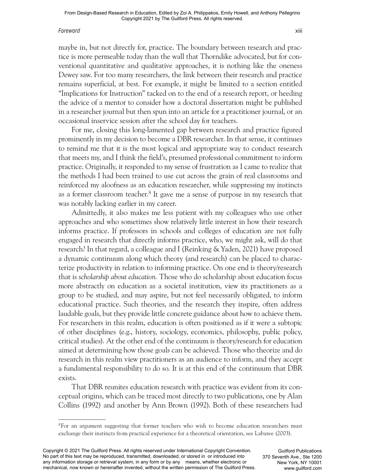#### *Foreword* xiii

maybe in, but not directly for, practice. The boundary between research and practice is more permeable today than the wall that Thorndike advocated, but for conventional quantitative and qualitative approaches, it is nothing like the oneness Dewey saw. For too many researchers, the link between their research and practice remains superficial, at best. For example, it might be limited to a section entitled "Implications for Instruction" tacked on to the end of a research report, or heeding the advice of a mentor to consider how a doctoral dissertation might be published in a researcher journal but then spun into an article for a practitioner journal, or an occasional inservice session after the school day for teachers.

For me, closing this long-lamented gap between research and practice figured prominently in my decision to become a DBR researcher. In that sense, it continues to remind me that it is the most logical and appropriate way to conduct research that meets my, and I think the field's, presumed professional commitment to inform practice. Originally, it responded to my sense of frustration as I came to realize that the methods I had been trained to use cut across the grain of real classrooms and reinforced my aloofness as an education researcher, while suppressing my instincts as a former classroom teacher.<sup>8</sup> It gave me a sense of purpose in my research that was notably lacking earlier in my career.

Admittedly, it also makes me less patient with my colleagues who use other approaches and who sometimes show relatively little interest in how their research informs practice. If professors in schools and colleges of education are not fully engaged in research that directly informs practice, who, we might ask, will do that research? In that regard, a colleague and I (Reinking & Yaden, 2021) have proposed a dynamic continuum along which theory (and research) can be placed to characterize productivity in relation to informing practice. On one end is theory/research that is *scholarship about education.* Those who do scholarship about education focus more abstractly on education as a societal institution, view its practitioners as a group to be studied, and may aspire, but not feel necessarily obligated, to inform educational practice. Such theories, and the research they inspire, often address laudable goals, but they provide little concrete guidance about how to achieve them. For researchers in this realm, education is often positioned as if it were a subtopic of other disciplines (e.g., history, sociology, economics, philosophy, public policy, critical studies). At the other end of the continuum is theory/research for education aimed at determining how those goals can be achieved. Those who theorize and do research in this realm view practitioners as an audience to inform, and they accept a fundamental responsibility to do so. It is at this end of the continuum that DBR exists.

That DBR reunites education research with practice was evident from its conceptual origins, which can be traced most directly to two publications, one by Alan Collins (1992) and another by Ann Brown (1992). Both of these researchers had

<sup>&</sup>lt;sup>8</sup> For an argument suggesting that former teachers who wish to become education researchers must exchange their instincts from practical experience for a theoretical orientation, see Labaree (2003).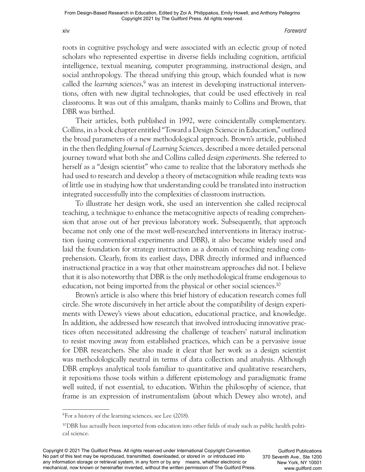#### xiv *Foreword*

roots in cognitive psychology and were associated with an eclectic group of noted scholars who represented expertise in diverse fields including cognition, artificial intelligence, textual meaning, computer programming, instructional design, and social anthropology. The thread unifying this group, which founded what is now called the *learning sciences*, 9 was an interest in developing instructional interventions, often with new digital technologies, that could be used effectively in real classrooms. It was out of this amalgam, thanks mainly to Collins and Brown, that DBR was birthed.

Their articles, both published in 1992, were coincidentally complementary. Collins, in a book chapter entitled "Toward a Design Science in Education," outlined the broad parameters of a new methodological approach. Brown's article, published in the then fledgling *Journal of Learning Sciences,* described a more detailed personal journey toward what both she and Collins called *design experiments*. She referred to herself as a "design scientist" who came to realize that the laboratory methods she had used to research and develop a theory of metacognition while reading texts was of little use in studying how that understanding could be translated into instruction integrated successfully into the complexities of classroom instruction.

To illustrate her design work, she used an intervention she called reciprocal teaching, a technique to enhance the metacognitive aspects of reading comprehension that arose out of her previous laboratory work. Subsequently, that approach became not only one of the most well-researched interventions in literacy instruction (using conventional experiments and DBR), it also became widely used and laid the foundation for strategy instruction as a domain of teaching reading comprehension. Clearly, from its earliest days, DBR directly informed and influenced instructional practice in a way that other mainstream approaches did not. I believe that it is also noteworthy that DBR is the only methodological frame endogenous to education, not being imported from the physical or other social sciences.10

Brown's article is also where this brief history of education research comes full circle. She wrote discursively in her article about the compatibility of design experiments with Dewey's views about education, educational practice, and knowledge. In addition, she addressed how research that involved introducing innovative practices often necessitated addressing the challenge of teachers' natural inclination to resist moving away from established practices, which can be a pervasive issue for DBR researchers. She also made it clear that her work as a design scientist was methodologically neutral in terms of data collection and analysis. Although DBR employs analytical tools familiar to quantitative and qualitative researchers, it repositions those tools within a different epistemology and paradigmatic frame well suited, if not essential, to education. Within the philosophy of science, that frame is an expression of instrumentalism (about which Dewey also wrote), and

<sup>&</sup>lt;sup>9</sup> For a history of the learning sciences, see Lee (2018).

<sup>10</sup> DBR has actually been imported from education into other fields of study such as public health political science.

Copyright © 2021 The Guilford Press. All rights reserved under International Copyright Convention. No part of this text may be reproduced, transmitted, downloaded, or stored in or introduced into any information storage or retrieval system, in any form or by any means, whether electronic or mechanical, now known or hereinafter invented, without the written permission of The Guilford Press.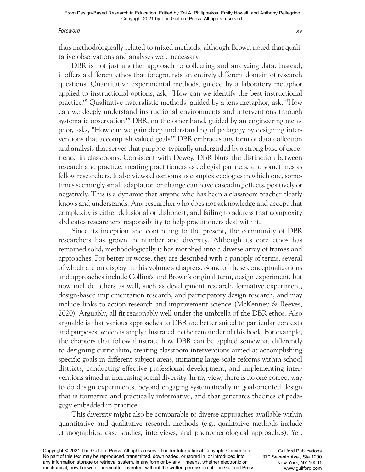#### *Foreword* xv

thus methodologically related to mixed methods, although Brown noted that qualitative observations and analyses were necessary.

DBR is not just another approach to collecting and analyzing data. Instead, it offers a different ethos that foregrounds an entirely different domain of research questions. Quantitative experimental methods, guided by a laboratory metaphor applied to instructional options, ask, "How can we identify the best instructional practice?" Qualitative naturalistic methods, guided by a lens metaphor, ask, "How can we deeply understand instructional environments and interventions through systematic observation?" DBR, on the other hand, guided by an engineering metaphor, asks, "How can we gain deep understanding of pedagogy by designing interventions that accomplish valued goals?" DBR embraces any form of data collection and analysis that serves that purpose, typically undergirded by a strong base of experience in classrooms. Consistent with Dewey, DBR blurs the distinction between research and practice, treating practitioners as collegial partners, and sometimes as fellow researchers. It also views classrooms as complex ecologies in which one, sometimes seemingly small adaptation or change can have cascading effects, positively or negatively. This is a dynamic that anyone who has been a classroom teacher clearly knows and understands. Any researcher who does not acknowledge and accept that complexity is either delusional or dishonest, and failing to address that complexity abdicates researchers' responsibility to help practitioners deal with it.

Since its inception and continuing to the present, the community of DBR researchers has grown in number and diversity. Although its core ethos has remained solid, methodologically it has morphed into a diverse array of frames and approaches. For better or worse, they are described with a panoply of terms, several of which are on display in this volume's chapters. Some of these conceptualizations and approaches include Collins's and Brown's original term, design experiment, but now include others as well, such as development research, formative experiment, design- based implementation research, and participatory design research, and may include links to action research and improvement science (McKenney & Reeves, 2020). Arguably, all fit reasonably well under the umbrella of the DBR ethos. Also arguable is that various approaches to DBR are better suited to particular contexts and purposes, which is amply illustrated in the remainder of this book. For example, the chapters that follow illustrate how DBR can be applied somewhat differently to designing curriculum, creating classroom interventions aimed at accomplishing specific goals in different subject areas, initiating large- scale reforms within school districts, conducting effective professional development, and implementing interventions aimed at increasing social diversity. In my view, there is no one correct way to do design experiments, beyond engaging systematically in goal-oriented design that is formative and practically informative, and that generates theories of pedagogy embedded in practice.

This diversity might also be comparable to diverse approaches available within quantitative and qualitative research methods (e.g., qualitative methods include ethnographies, case studies, interviews, and phenomenological approaches). Yet,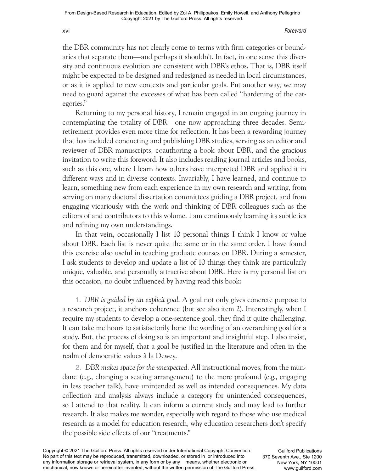#### xvi *Foreword*

the DBR community has not clearly come to terms with firm categories or boundaries that separate them— and perhaps it shouldn't. In fact, in one sense this diversity and continuous evolution are consistent with DBR's ethos. That is, DBR itself might be expected to be designed and redesigned as needed in local circumstances, or as it is applied to new contexts and particular goals. Put another way, we may need to guard against the excesses of what has been called "hardening of the categories."

Returning to my personal history, I remain engaged in an ongoing journey in contemplating the totality of DBR— one now approaching three decades. Semiretirement provides even more time for reflection. It has been a rewarding journey that has included conducting and publishing DBR studies, serving as an editor and reviewer of DBR manuscripts, coauthoring a book about DBR, and the gracious invitation to write this foreword. It also includes reading journal articles and books, such as this one, where I learn how others have interpreted DBR and applied it in different ways and in diverse contexts. Invariably, I have learned, and continue to learn, something new from each experience in my own research and writing, from serving on many doctoral dissertation committees guiding a DBR project, and from engaging vicariously with the work and thinking of DBR colleagues such as the editors of and contributors to this volume. I am continuously learning its subtleties and refining my own understandings.

In that vein, occasionally I list 10 personal things I think I know or value about DBR. Each list is never quite the same or in the same order. I have found this exercise also useful in teaching graduate courses on DBR. During a semester, I ask students to develop and update a list of 10 things they think are particularly unique, valuable, and personally attractive about DBR. Here is my personal list on this occasion, no doubt influenced by having read this book:

1. *DBR is guided by an explicit goal*. A goal not only gives concrete purpose to a research project, it anchors coherence (but see also item 2). Interestingly, when I require my students to develop a one-sentence goal, they find it quite challenging. It can take me hours to satisfactorily hone the wording of an overarching goal for a study. But, the process of doing so is an important and insightful step. I also insist, for them and for myself, that a goal be justified in the literature and often in the realm of democratic values à la Dewey.

2. *DBR makes space for the unexpected*. All instructional moves, from the mundane (e.g., changing a seating arrangement) to the more profound (e.g., engaging in less teacher talk), have unintended as well as intended consequences. My data collection and analysis always include a category for unintended consequences, so I attend to that reality. It can inform a current study and may lead to further research. It also makes me wonder, especially with regard to those who use medical research as a model for education research, why education researchers don't specify the possible side effects of our "treatments."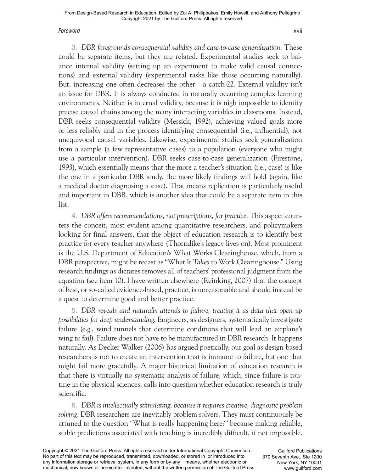#### *Foreword* xvii

3. *DBR foregrounds consequential validity and case- to- case generalization*. These could be separate items, but they are related. Experimental studies seek to balance internal validity (setting up an experiment to make valid causal connections) and external validity (experimental tasks like those occurring naturally). But, increasing one often decreases the other— a catch-22. External validity isn't an issue for DBR. It is always conducted in naturally occurring complex learning environments. Neither is internal validity, because it is nigh impossible to identify precise causal chains among the many interacting variables in classrooms. Instead, DBR seeks consequential validity (Messick, 1992), achieving valued goals more or less reliably and in the process identifying consequential (i.e., influential), not unequivocal causal variables. Likewise, experimental studies seek generalization from a sample (a few representative cases) to a population (everyone who might use a particular intervention). DBR seeks case-to-case generalization (Firestone, 1993), which essentially means that the more a teacher's situation (i.e., case) is like the one in a particular DBR study, the more likely findings will hold (again, like a medical doctor diagnosing a case). That means replication is particularly useful and important in DBR, which is another idea that could be a separate item in this list.

4. *DBR offers recommendations, not prescriptions, for practice*. This aspect counters the conceit, most evident among quantitative researchers, and policymakers looking for final answers, that the object of education research is to identify best practice for every teacher anywhere (Thorndike's legacy lives on). Most prominent is the U.S. Department of Education's What Works Clearinghouse, which, from a DBR perspective, might be recast as "What It *Takes* to Work Clearinghouse." Using research findings as dictates removes all of teachers' professional judgment from the equation (see item 10). I have written elsewhere (Reinking, 2007) that the concept of best, or so- called evidence- based, practice, is unreasonable and should instead be a quest to determine good and better practice.

5. *DBR reveals and naturally attends to failure, treating it as data that open up possibilities for deep understanding.* Engineers, as designers, systematically investigate failure (e.g., wind tunnels that determine conditions that will lead an airplane's wing to fail). Failure does not have to be manufactured in DBR research. It happens naturally. As Decker Walker (2006) has argued poetically, our goal as design- based researchers is not to create an intervention that is immune to failure, but one that might fail more gracefully. A major historical limitation of education research is that there is virtually no systematic analysis of failure, which, since failure is routine in the physical sciences, calls into question whether education research is truly scientific.

6. *DBR is intellectually stimulating, because it requires creative, diagnostic problem solving.* DBR researchers are inevitably problem solvers. They must continuously be attuned to the question "What is really happening here?" because making reliable, stable predictions associated with teaching is incredibly difficult, if not impossible.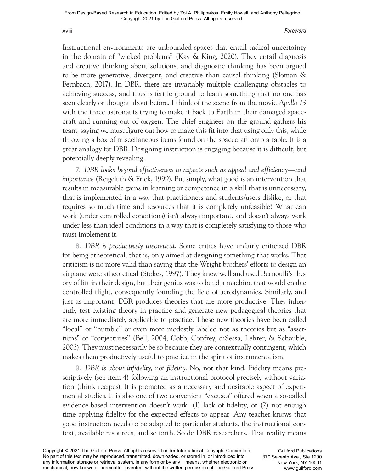#### xviii *Foreword*

Instructional environments are unbounded spaces that entail radical uncertainty in the domain of "wicked problems" (Kay & King, 2020). They entail diagnosis and creative thinking about solutions, and diagnostic thinking has been argued to be more generative, divergent, and creative than causal thinking (Sloman & Fernbach, 2017). In DBR, there are invariably multiple challenging obstacles to achieving success, and thus is fertile ground to learn something that no one has seen clearly or thought about before. I think of the scene from the movie *Apollo 13* with the three astronauts trying to make it back to Earth in their damaged spacecraft and running out of oxygen. The chief engineer on the ground gathers his team, saying we must figure out how to make this fit into that using only this, while throwing a box of miscellaneous items found on the spacecraft onto a table. It is a great analogy for DBR. Designing instruction is engaging because it is difficult, but potentially deeply revealing.

7. *DBR looks beyond effectiveness to aspects such as appeal and efficiency— and importance* (Reigeluth & Frick, 1999). Put simply, what good is an intervention that results in measurable gains in learning or competence in a skill that is unnecessary, that is implemented in a way that practitioners and students/users dislike, or that requires so much time and resources that it is completely unfeasible? What can work (under controlled conditions) isn't always important, and doesn't always work under less than ideal conditions in a way that is completely satisfying to those who must implement it.

8. *DBR is productively theoretical*. Some critics have unfairly criticized DBR for being atheoretical, that is, only aimed at designing something that works. That criticism is no more valid than saying that the Wright brothers' efforts to design an airplane were atheoretical (Stokes, 1997). They knew well and used Bernoulli's theory of lift in their design, but their genius was to build a machine that would enable controlled flight, consequently founding the field of aerodynamics. Similarly, and just as important, DBR produces theories that are more productive. They inherently test existing theory in practice and generate new pedagogical theories that are more immediately applicable to practice. These new theories have been called "local" or "humble" or even more modestly labeled not as theories but as "assertions" or "conjectures" (Bell, 2004; Cobb, Confrey, diSessa, Lehrer, & Schauble, 2003). They must necessarily be so because they are contextually contingent, which makes them productively useful to practice in the spirit of instrumentalism.

9. *DBR is about infidelity, not fidelity*. No, not that kind. Fidelity means prescriptively (see item 4) following an instructional protocol precisely without variation (think recipes). It is promoted as a necessary and desirable aspect of experimental studies. It is also one of two convenient "excuses" offered when a so-called evidence- based intervention doesn't work: (1) lack of fidelity, or (2) not enough time applying fidelity for the expected effects to appear. Any teacher knows that good instruction needs to be adapted to particular students, the instructional context, available resources, and so forth. So do DBR researchers. That reality means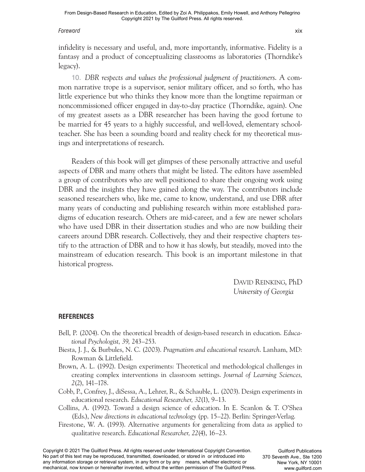#### *Foreword* xix

infidelity is necessary and useful, and, more importantly, informative. Fidelity is a fantasy and a product of conceptualizing classrooms as laboratories (Thorndike's legacy).

10. *DBR respects and values the professional judgment of practitioners*. A common narrative trope is a supervisor, senior military officer, and so forth, who has little experience but who thinks they know more than the longtime repairman or noncommissioned officer engaged in day-to-day practice (Thorndike, again). One of my greatest assets as a DBR researcher has been having the good fortune to be married for 45 years to a highly successful, and well-loved, elementary schoolteacher. She has been a sounding board and reality check for my theoretical musings and interpretations of research.

Readers of this book will get glimpses of these personally attractive and useful aspects of DBR and many others that might be listed. The editors have assembled a group of contributors who are well positioned to share their ongoing work using DBR and the insights they have gained along the way. The contributors include seasoned researchers who, like me, came to know, understand, and use DBR after many years of conducting and publishing research within more established paradigms of education research. Others are mid-career, and a few are newer scholars who have used DBR in their dissertation studies and who are now building their careers around DBR research. Collectively, they and their respective chapters testify to the attraction of DBR and to how it has slowly, but steadily, moved into the mainstream of education research. This book is an important milestone in that historical progress.

> DAVID REINKING, PhD *University of Georgia*

### **REFERENCES**

- Bell, P. (2004). On the theoretical breadth of design- based research in education. *Educational Psychologist, 39,* 243–253.
- Biesta, J. J., & Burbules, N. C. (2003). *Pragmatism and educational research*. Lanham, MD: Rowman & Littlefield.
- Brown, A. L. (1992). Design experiments: Theoretical and methodological challenges in creating complex interventions in classroom settings. *Journal of Learning Sciences, 2*(2), 141–178.
- Cobb, P., Confrey, J., diSessa, A., Lehrer, R., & Schauble, L. (2003). Design experiments in educational research. *Educational Researcher, 32*(1), 9–13.

Collins, A. (1992). Toward a design science of education. In E. Scanlon & T. O'Shea (Eds.), *New directions in educational technology* (pp. 15–22). Berlin: Springer- Verlag.

Firestone, W. A. (1993). Alternative arguments for generalizing from data as applied to qualitative research. *Educational Researcher, 22*(4), 16–23.

Copyright © 2021 The Guilford Press. All rights reserved under International Copyright Convention. No part of this text may be reproduced, transmitted, downloaded, or stored in or introduced into any information storage or retrieval system, in any form or by any means, whether electronic or mechanical, now known or hereinafter invented, without the written permission of The Guilford Press.